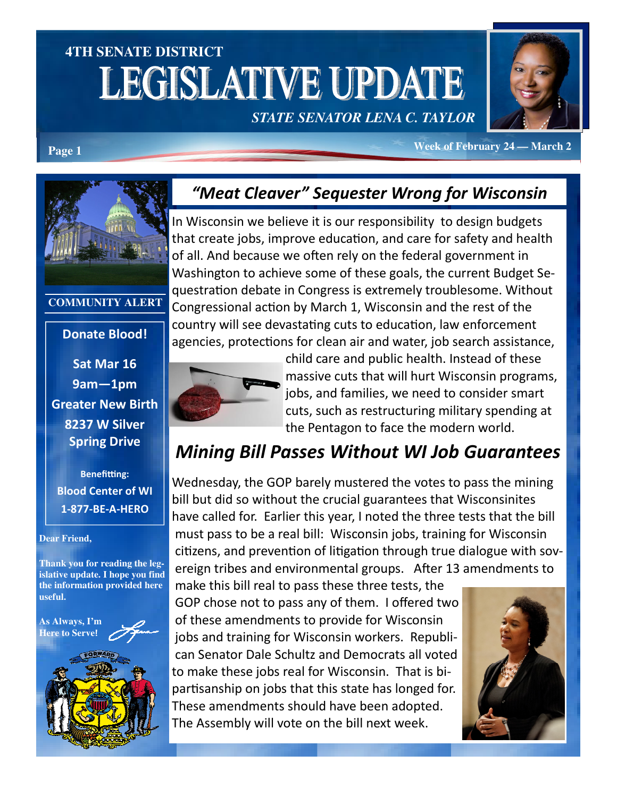# **4TH SENATE DISTRICT LEGISLATIVE UPDATE** *STATE SENATOR LENA C. TAYLOR*



**Page 1** *Page 1 Page 1 Page 1* **<b>***Page 1 Page 1 Page 1 Page 1 Page 1 Page 1 Page 1 Page 1 Page 1 Page 1 Page 1 Page 1 Page 1 Page 1 Page 1 Page 1 Pag* 

## "Meat Cleaver" Sequester Wrong for Wisconsin

In Wisconsin we believe it is our responsibility to design budgets that create jobs, improve education, and care for safety and health of all. And because we often rely on the federal government in Washington to achieve some of these goals, the current Budget Sequestration debate in Congress is extremely troublesome. Without Congressional action by March 1, Wisconsin and the rest of the country will see devastating cuts to education, law enforcement agencies, protections for clean air and water, job search assistance,



child care and public health. Instead of these massive cuts that will hurt Wisconsin programs, jobs, and families, we need to consider smart cuts, such as restructuring military spending at the Pentagon to face the modern world.

# Mining Bill Passes Without WI Job Guarantees

Wednesday, the GOP barely mustered the votes to pass the mining bill but did so without the crucial guarantees that Wisconsinites have called for. Earlier this year, I noted the three tests that the bill must pass to be a real bill: Wisconsin jobs, training for Wisconsin citizens, and prevention of litigation through true dialogue with sovereign tribes and environmental groups. After 13 amendments to

make this bill real to pass these three tests, the GOP chose not to pass any of them. I offered two of these amendments to provide for Wisconsin jobs and training for Wisconsin workers. Republican Senator Dale Schultz and Democrats all voted to make these jobs real for Wisconsin. That is bipartisanship on jobs that this state has longed for. These amendments should have been adopted. The Assembly will vote on the bill next week.





#### **COMMUNITY ALERT**

#### Donate Blood!

Sat Mar 16 9am—1pm Greater New Birth 8237 W Silver Spring Drive

**Benefitting:** Blood Center of WI 1-877-BE-A-HERO

#### **Dear Friend,**

**Thank you for reading the legislative update. I hope you find the information provided here useful.** 

**As Always, I'm Here to Serve**!